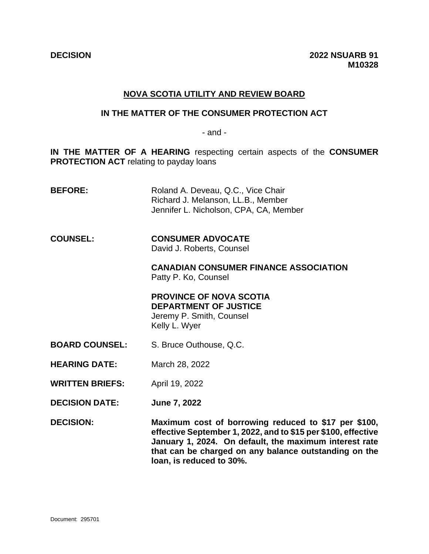# **NOVA SCOTIA UTILITY AND REVIEW BOARD**

#### **IN THE MATTER OF THE CONSUMER PROTECTION ACT**

- and -

**IN THE MATTER OF A HEARING** respecting certain aspects of the **CONSUMER PROTECTION ACT** relating to payday loans

- **BEFORE:** Roland A. Deveau, Q.C., Vice Chair Richard J. Melanson, LL.B., Member Jennifer L. Nicholson, CPA, CA, Member
- **COUNSEL: CONSUMER ADVOCATE** David J. Roberts, Counsel

**CANADIAN CONSUMER FINANCE ASSOCIATION** Patty P. Ko, Counsel

**PROVINCE OF NOVA SCOTIA DEPARTMENT OF JUSTICE** Jeremy P. Smith, Counsel Kelly L. Wyer

- **BOARD COUNSEL:** S. Bruce Outhouse, Q.C.
- **HEARING DATE:** March 28, 2022
- **WRITTEN BRIEFS:** April 19, 2022
- **DECISION DATE: June 7, 2022**

**DECISION: Maximum cost of borrowing reduced to \$17 per \$100, effective September 1, 2022, and to \$15 per \$100, effective January 1, 2024. On default, the maximum interest rate that can be charged on any balance outstanding on the loan, is reduced to 30%.**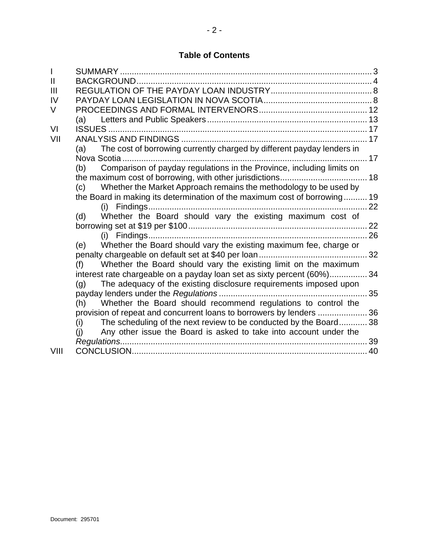| $\mathsf{I}$   |                                                                               |
|----------------|-------------------------------------------------------------------------------|
| $\mathbf{I}$   |                                                                               |
| $\mathbf{III}$ |                                                                               |
| IV             |                                                                               |
| V              |                                                                               |
|                |                                                                               |
| VI             |                                                                               |
| VII            |                                                                               |
|                | The cost of borrowing currently charged by different payday lenders in<br>(a) |
|                |                                                                               |
|                | Comparison of payday regulations in the Province, including limits on<br>(b)  |
|                |                                                                               |
|                | Whether the Market Approach remains the methodology to be used by<br>(c)      |
|                | the Board in making its determination of the maximum cost of borrowing 19     |
|                | (i)                                                                           |
|                | Whether the Board should vary the existing maximum cost of<br>(d)             |
|                |                                                                               |
|                |                                                                               |
|                | Whether the Board should vary the existing maximum fee, charge or<br>(e)      |
|                |                                                                               |
|                | Whether the Board should vary the existing limit on the maximum<br>(f)        |
|                | interest rate chargeable on a payday loan set as sixty percent (60%) 34       |
|                | The adequacy of the existing disclosure requirements imposed upon<br>(q)      |
|                |                                                                               |
|                | Whether the Board should recommend regulations to control the<br>(h)          |
|                | provision of repeat and concurrent loans to borrowers by lenders 36           |
|                | The scheduling of the next review to be conducted by the Board38<br>(i)       |
|                | Any other issue the Board is asked to take into account under the<br>(i)      |
|                |                                                                               |
| VIII           |                                                                               |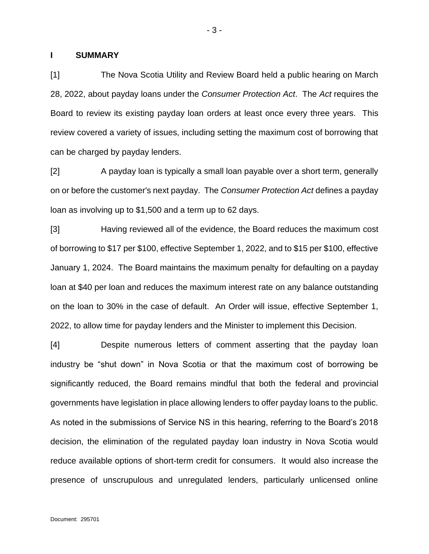#### <span id="page-2-0"></span>**I SUMMARY**

[1] The Nova Scotia Utility and Review Board held a public hearing on March 28, 2022, about payday loans under the *Consumer Protection Act*. The *Act* requires the Board to review its existing payday loan orders at least once every three years. This review covered a variety of issues, including setting the maximum cost of borrowing that can be charged by payday lenders.

[2] A payday loan is typically a small loan payable over a short term, generally on or before the customer's next payday. The *Consumer Protection Act* defines a payday loan as involving up to \$1,500 and a term up to 62 days.

[3] Having reviewed all of the evidence, the Board reduces the maximum cost of borrowing to \$17 per \$100, effective September 1, 2022, and to \$15 per \$100, effective January 1, 2024. The Board maintains the maximum penalty for defaulting on a payday loan at \$40 per loan and reduces the maximum interest rate on any balance outstanding on the loan to 30% in the case of default. An Order will issue, effective September 1, 2022, to allow time for payday lenders and the Minister to implement this Decision.

[4] Despite numerous letters of comment asserting that the payday loan industry be "shut down" in Nova Scotia or that the maximum cost of borrowing be significantly reduced, the Board remains mindful that both the federal and provincial governments have legislation in place allowing lenders to offer payday loans to the public. As noted in the submissions of Service NS in this hearing, referring to the Board's 2018 decision, the elimination of the regulated payday loan industry in Nova Scotia would reduce available options of short-term credit for consumers. It would also increase the presence of unscrupulous and unregulated lenders, particularly unlicensed online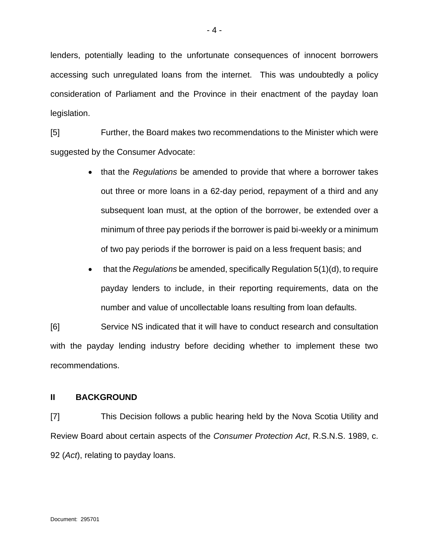lenders, potentially leading to the unfortunate consequences of innocent borrowers accessing such unregulated loans from the internet. This was undoubtedly a policy consideration of Parliament and the Province in their enactment of the payday loan legislation.

[5] Further, the Board makes two recommendations to the Minister which were suggested by the Consumer Advocate:

- that the *Regulations* be amended to provide that where a borrower takes out three or more loans in a 62-day period, repayment of a third and any subsequent loan must, at the option of the borrower, be extended over a minimum of three pay periods if the borrower is paid bi-weekly or a minimum of two pay periods if the borrower is paid on a less frequent basis; and
- that the *Regulations* be amended, specifically Regulation 5(1)(d), to require payday lenders to include, in their reporting requirements, data on the number and value of uncollectable loans resulting from loan defaults.

[6] Service NS indicated that it will have to conduct research and consultation with the payday lending industry before deciding whether to implement these two recommendations.

### <span id="page-3-0"></span>**II BACKGROUND**

[7] This Decision follows a public hearing held by the Nova Scotia Utility and Review Board about certain aspects of the *Consumer Protection Act*, R.S.N.S. 1989, c. 92 (*Act*), relating to payday loans.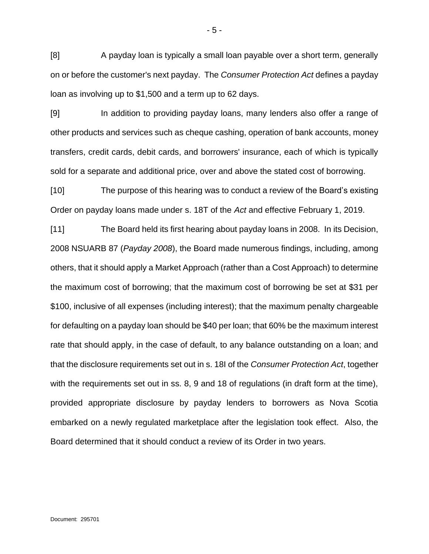[8] A payday loan is typically a small loan payable over a short term, generally on or before the customer's next payday. The *Consumer Protection Act* defines a payday loan as involving up to \$1,500 and a term up to 62 days.

[9] In addition to providing payday loans, many lenders also offer a range of other products and services such as cheque cashing, operation of bank accounts, money transfers, credit cards, debit cards, and borrowers' insurance, each of which is typically sold for a separate and additional price, over and above the stated cost of borrowing.

[10] The purpose of this hearing was to conduct a review of the Board's existing Order on payday loans made under s. 18T of the *Act* and effective February 1, 2019.

[11] The Board held its first hearing about payday loans in 2008. In its Decision, 2008 NSUARB 87 (*Payday 2008*), the Board made numerous findings, including, among others, that it should apply a Market Approach (rather than a Cost Approach) to determine the maximum cost of borrowing; that the maximum cost of borrowing be set at \$31 per \$100, inclusive of all expenses (including interest); that the maximum penalty chargeable for defaulting on a payday loan should be \$40 per loan; that 60% be the maximum interest rate that should apply, in the case of default, to any balance outstanding on a loan; and that the disclosure requirements set out in s. 18I of the *Consumer Protection Act*, together with the requirements set out in ss. 8, 9 and 18 of regulations (in draft form at the time), provided appropriate disclosure by payday lenders to borrowers as Nova Scotia embarked on a newly regulated marketplace after the legislation took effect. Also, the Board determined that it should conduct a review of its Order in two years.

- 5 -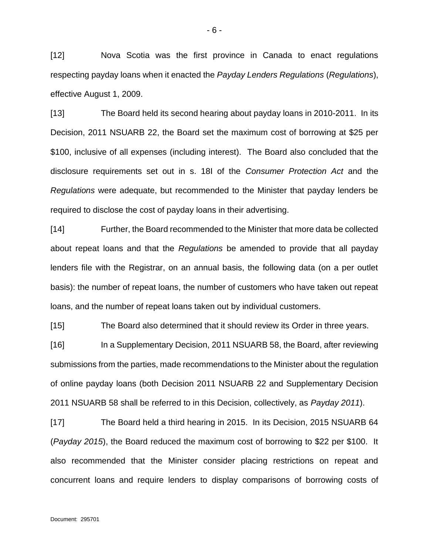[12] Nova Scotia was the first province in Canada to enact regulations respecting payday loans when it enacted the *Payday Lenders Regulations* (*Regulations*), effective August 1, 2009.

[13] The Board held its second hearing about payday loans in 2010-2011. In its Decision, 2011 NSUARB 22, the Board set the maximum cost of borrowing at \$25 per \$100, inclusive of all expenses (including interest). The Board also concluded that the disclosure requirements set out in s. 18I of the *Consumer Protection Act* and the *Regulations* were adequate, but recommended to the Minister that payday lenders be required to disclose the cost of payday loans in their advertising.

[14] Further, the Board recommended to the Minister that more data be collected about repeat loans and that the *Regulations* be amended to provide that all payday lenders file with the Registrar, on an annual basis, the following data (on a per outlet basis): the number of repeat loans, the number of customers who have taken out repeat loans, and the number of repeat loans taken out by individual customers.

[15] The Board also determined that it should review its Order in three years.

[16] In a Supplementary Decision, 2011 NSUARB 58, the Board, after reviewing submissions from the parties, made recommendations to the Minister about the regulation of online payday loans (both Decision 2011 NSUARB 22 and Supplementary Decision 2011 NSUARB 58 shall be referred to in this Decision, collectively, as *Payday 2011*).

[17] The Board held a third hearing in 2015. In its Decision, 2015 NSUARB 64 (*Payday 2015*), the Board reduced the maximum cost of borrowing to \$22 per \$100. It also recommended that the Minister consider placing restrictions on repeat and concurrent loans and require lenders to display comparisons of borrowing costs of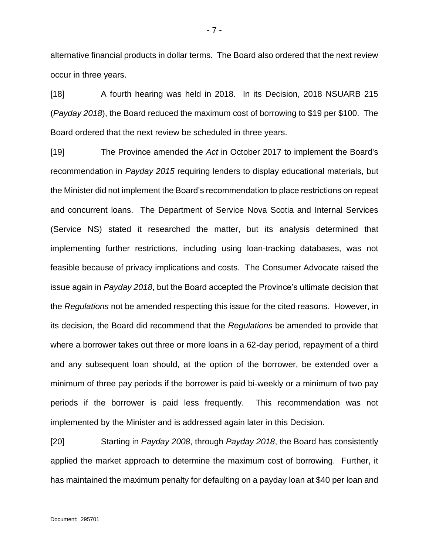alternative financial products in dollar terms. The Board also ordered that the next review occur in three years.

[18] A fourth hearing was held in 2018. In its Decision, 2018 NSUARB 215 (*Payday 2018*), the Board reduced the maximum cost of borrowing to \$19 per \$100. The Board ordered that the next review be scheduled in three years.

[19] The Province amended the *Act* in October 2017 to implement the Board's recommendation in *Payday 2015* requiring lenders to display educational materials, but the Minister did not implement the Board's recommendation to place restrictions on repeat and concurrent loans. The Department of Service Nova Scotia and Internal Services (Service NS) stated it researched the matter, but its analysis determined that implementing further restrictions, including using loan-tracking databases, was not feasible because of privacy implications and costs. The Consumer Advocate raised the issue again in *Payday 2018*, but the Board accepted the Province's ultimate decision that the *Regulations* not be amended respecting this issue for the cited reasons. However, in its decision, the Board did recommend that the *Regulations* be amended to provide that where a borrower takes out three or more loans in a 62-day period, repayment of a third and any subsequent loan should, at the option of the borrower, be extended over a minimum of three pay periods if the borrower is paid bi-weekly or a minimum of two pay periods if the borrower is paid less frequently. This recommendation was not implemented by the Minister and is addressed again later in this Decision.

[20] Starting in *Payday 2008*, through *Payday 2018*, the Board has consistently applied the market approach to determine the maximum cost of borrowing. Further, it has maintained the maximum penalty for defaulting on a payday loan at \$40 per loan and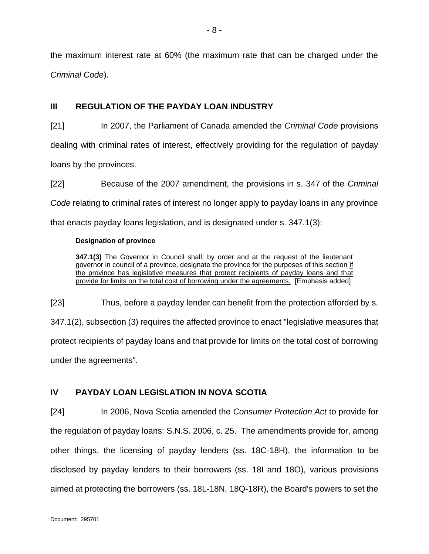the maximum interest rate at 60% (the maximum rate that can be charged under the *Criminal Code*).

- 8 -

# <span id="page-7-0"></span>**III REGULATION OF THE PAYDAY LOAN INDUSTRY**

[21] In 2007, the Parliament of Canada amended the *Criminal Code* provisions dealing with criminal rates of interest, effectively providing for the regulation of payday loans by the provinces.

[22] Because of the 2007 amendment, the provisions in s. 347 of the *Criminal Code* relating to criminal rates of interest no longer apply to payday loans in any province that enacts payday loans legislation, and is designated under s. 347.1(3):

### **Designation of province**

**347.1(3)** The Governor in Council shall, by order and at the request of the lieutenant governor in council of a province, designate the province for the purposes of this section if the province has legislative measures that protect recipients of payday loans and that provide for limits on the total cost of borrowing under the agreements. [Emphasis added]

[23] Thus, before a payday lender can benefit from the protection afforded by s.

347.1(2), subsection (3) requires the affected province to enact "legislative measures that protect recipients of payday loans and that provide for limits on the total cost of borrowing under the agreements".

# <span id="page-7-1"></span>**IV PAYDAY LOAN LEGISLATION IN NOVA SCOTIA**

[24] In 2006, Nova Scotia amended the *Consumer Protection Act* to provide for the regulation of payday loans: S.N.S. 2006, c. 25. The amendments provide for, among other things, the licensing of payday lenders (ss. 18C-18H), the information to be disclosed by payday lenders to their borrowers (ss. 18I and 18O), various provisions aimed at protecting the borrowers (ss. 18L-18N, 18Q-18R), the Board's powers to set the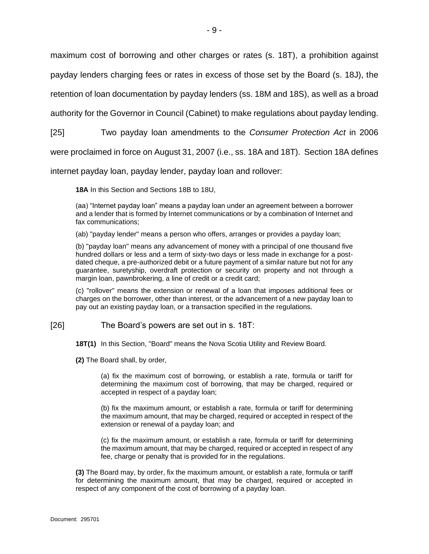maximum cost of borrowing and other charges or rates (s. 18T), a prohibition against

payday lenders charging fees or rates in excess of those set by the Board (s. 18J), the

retention of loan documentation by payday lenders (ss. 18M and 18S), as well as a broad

authority for the Governor in Council (Cabinet) to make regulations about payday lending.

[25] Two payday loan amendments to the *Consumer Protection Act* in 2006

were proclaimed in force on August 31, 2007 (i.e., ss. 18A and 18T). Section 18A defines

internet payday loan, payday lender, payday loan and rollover:

**18A** In this Section and Sections 18B to 18U,

(aa) "Internet payday loan" means a payday loan under an agreement between a borrower and a lender that is formed by Internet communications or by a combination of Internet and fax communications;

(ab) "payday lender" means a person who offers, arranges or provides a payday loan;

(b) "payday loan" means any advancement of money with a principal of one thousand five hundred dollars or less and a term of sixty-two days or less made in exchange for a postdated cheque, a pre-authorized debit or a future payment of a similar nature but not for any guarantee, suretyship, overdraft protection or security on property and not through a margin loan, pawnbrokering, a line of credit or a credit card;

(c) "rollover" means the extension or renewal of a loan that imposes additional fees or charges on the borrower, other than interest, or the advancement of a new payday loan to pay out an existing payday loan, or a transaction specified in the regulations.

### [26] The Board's powers are set out in s. 18T:

**18T(1)** In this Section, "Board" means the Nova Scotia Utility and Review Board.

**(2)** The Board shall, by order,

(a) fix the maximum cost of borrowing, or establish a rate, formula or tariff for determining the maximum cost of borrowing, that may be charged, required or accepted in respect of a payday loan;

(b) fix the maximum amount, or establish a rate, formula or tariff for determining the maximum amount, that may be charged, required or accepted in respect of the extension or renewal of a payday loan; and

(c) fix the maximum amount, or establish a rate, formula or tariff for determining the maximum amount, that may be charged, required or accepted in respect of any fee, charge or penalty that is provided for in the regulations.

**(3)** The Board may, by order, fix the maximum amount, or establish a rate, formula or tariff for determining the maximum amount, that may be charged, required or accepted in respect of any component of the cost of borrowing of a payday loan.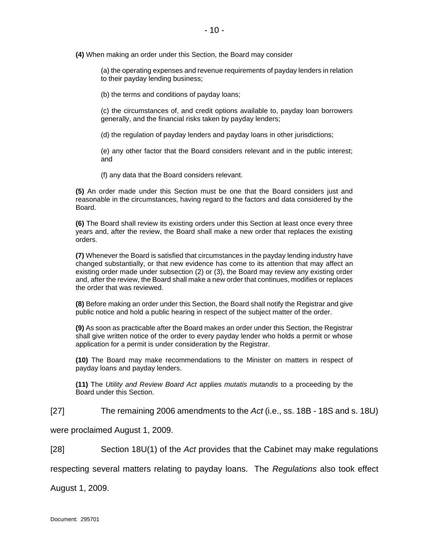**(4)** When making an order under this Section, the Board may consider

(a) the operating expenses and revenue requirements of payday lenders in relation to their payday lending business;

(b) the terms and conditions of payday loans;

(c) the circumstances of, and credit options available to, payday loan borrowers generally, and the financial risks taken by payday lenders;

(d) the regulation of payday lenders and payday loans in other jurisdictions;

(e) any other factor that the Board considers relevant and in the public interest; and

(f) any data that the Board considers relevant.

**(5)** An order made under this Section must be one that the Board considers just and reasonable in the circumstances, having regard to the factors and data considered by the Board.

**(6)** The Board shall review its existing orders under this Section at least once every three years and, after the review, the Board shall make a new order that replaces the existing orders.

**(7)** Whenever the Board is satisfied that circumstances in the payday lending industry have changed substantially, or that new evidence has come to its attention that may affect an existing order made under subsection (2) or (3), the Board may review any existing order and, after the review, the Board shall make a new order that continues, modifies or replaces the order that was reviewed.

**(8)** Before making an order under this Section, the Board shall notify the Registrar and give public notice and hold a public hearing in respect of the subject matter of the order.

**(9)** As soon as practicable after the Board makes an order under this Section, the Registrar shall give written notice of the order to every payday lender who holds a permit or whose application for a permit is under consideration by the Registrar.

**(10)** The Board may make recommendations to the Minister on matters in respect of payday loans and payday lenders.

**(11)** The *Utility and Review Board Act* applies *mutatis mutandis* to a proceeding by the Board under this Section.

[27] The remaining 2006 amendments to the *Act* (i.e., ss. 18B - 18S and s. 18U)

were proclaimed August 1, 2009.

[28] Section 18U(1) of the *Act* provides that the Cabinet may make regulations

respecting several matters relating to payday loans. The *Regulations* also took effect

August 1, 2009.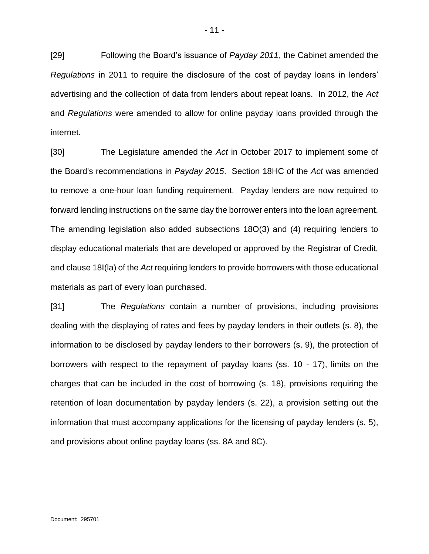[29] Following the Board's issuance of *Payday 2011*, the Cabinet amended the *Regulations* in 2011 to require the disclosure of the cost of payday loans in lenders' advertising and the collection of data from lenders about repeat loans. In 2012, the *Act* and *Regulations* were amended to allow for online payday loans provided through the internet.

[30] The Legislature amended the *Act* in October 2017 to implement some of the Board's recommendations in *Payday 2015*. Section 18HC of the *Act* was amended to remove a one-hour loan funding requirement. Payday lenders are now required to forward lending instructions on the same day the borrower enters into the loan agreement. The amending legislation also added subsections 18O(3) and (4) requiring lenders to display educational materials that are developed or approved by the Registrar of Credit, and clause 18I(la) of the *Act* requiring lenders to provide borrowers with those educational materials as part of every loan purchased.

[31] The *Regulations* contain a number of provisions, including provisions dealing with the displaying of rates and fees by payday lenders in their outlets (s. 8), the information to be disclosed by payday lenders to their borrowers (s. 9), the protection of borrowers with respect to the repayment of payday loans (ss. 10 - 17), limits on the charges that can be included in the cost of borrowing (s. 18), provisions requiring the retention of loan documentation by payday lenders (s. 22), a provision setting out the information that must accompany applications for the licensing of payday lenders (s. 5), and provisions about online payday loans (ss. 8A and 8C).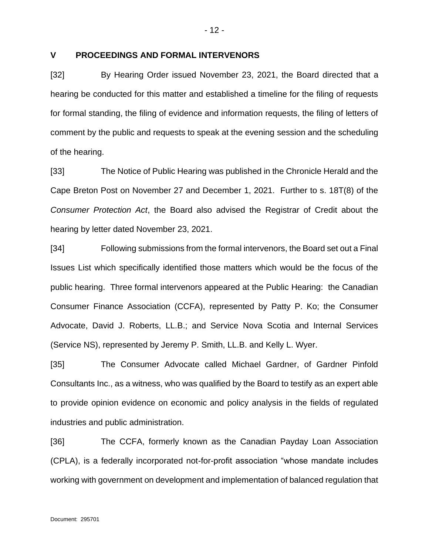## <span id="page-11-0"></span>**V PROCEEDINGS AND FORMAL INTERVENORS**

[32] By Hearing Order issued November 23, 2021, the Board directed that a hearing be conducted for this matter and established a timeline for the filing of requests for formal standing, the filing of evidence and information requests, the filing of letters of comment by the public and requests to speak at the evening session and the scheduling of the hearing.

[33] The Notice of Public Hearing was published in the Chronicle Herald and the Cape Breton Post on November 27 and December 1, 2021. Further to s. 18T(8) of the *Consumer Protection Act*, the Board also advised the Registrar of Credit about the hearing by letter dated November 23, 2021.

[34] Following submissions from the formal intervenors, the Board set out a Final Issues List which specifically identified those matters which would be the focus of the public hearing. Three formal intervenors appeared at the Public Hearing: the Canadian Consumer Finance Association (CCFA), represented by Patty P. Ko; the Consumer Advocate, David J. Roberts, LL.B.; and Service Nova Scotia and Internal Services (Service NS), represented by Jeremy P. Smith, LL.B. and Kelly L. Wyer.

[35] The Consumer Advocate called Michael Gardner, of Gardner Pinfold Consultants Inc., as a witness, who was qualified by the Board to testify as an expert able to provide opinion evidence on economic and policy analysis in the fields of regulated industries and public administration.

[36] The CCFA, formerly known as the Canadian Payday Loan Association (CPLA), is a federally incorporated not-for-profit association "whose mandate includes working with government on development and implementation of balanced regulation that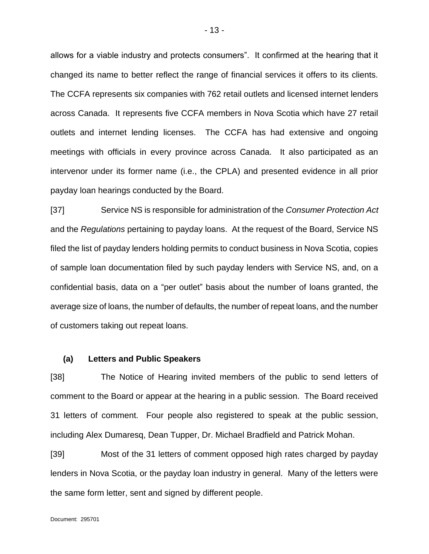allows for a viable industry and protects consumers". It confirmed at the hearing that it changed its name to better reflect the range of financial services it offers to its clients. The CCFA represents six companies with 762 retail outlets and licensed internet lenders across Canada. It represents five CCFA members in Nova Scotia which have 27 retail outlets and internet lending licenses. The CCFA has had extensive and ongoing meetings with officials in every province across Canada. It also participated as an intervenor under its former name (i.e., the CPLA) and presented evidence in all prior payday loan hearings conducted by the Board.

[37] Service NS is responsible for administration of the *Consumer Protection Act* and the *Regulations* pertaining to payday loans. At the request of the Board, Service NS filed the list of payday lenders holding permits to conduct business in Nova Scotia, copies of sample loan documentation filed by such payday lenders with Service NS, and, on a confidential basis, data on a "per outlet" basis about the number of loans granted, the average size of loans, the number of defaults, the number of repeat loans, and the number of customers taking out repeat loans.

### <span id="page-12-0"></span>**(a) Letters and Public Speakers**

[38] The Notice of Hearing invited members of the public to send letters of comment to the Board or appear at the hearing in a public session. The Board received 31 letters of comment. Four people also registered to speak at the public session, including Alex Dumaresq, Dean Tupper, Dr. Michael Bradfield and Patrick Mohan.

[39] Most of the 31 letters of comment opposed high rates charged by payday lenders in Nova Scotia, or the payday loan industry in general. Many of the letters were the same form letter, sent and signed by different people.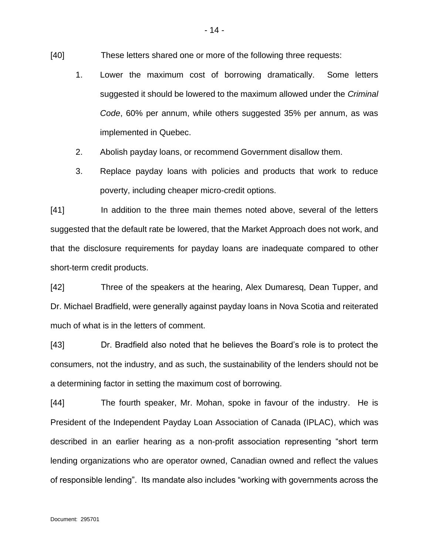- [40] These letters shared one or more of the following three requests:
	- 1. Lower the maximum cost of borrowing dramatically. Some letters suggested it should be lowered to the maximum allowed under the *Criminal Code*, 60% per annum, while others suggested 35% per annum, as was implemented in Quebec.
	- 2. Abolish payday loans, or recommend Government disallow them.
	- 3. Replace payday loans with policies and products that work to reduce poverty, including cheaper micro-credit options.

[41] In addition to the three main themes noted above, several of the letters suggested that the default rate be lowered, that the Market Approach does not work, and that the disclosure requirements for payday loans are inadequate compared to other short-term credit products.

[42] Three of the speakers at the hearing, Alex Dumaresq, Dean Tupper, and Dr. Michael Bradfield, were generally against payday loans in Nova Scotia and reiterated much of what is in the letters of comment.

[43] Dr. Bradfield also noted that he believes the Board's role is to protect the consumers, not the industry, and as such, the sustainability of the lenders should not be a determining factor in setting the maximum cost of borrowing.

[44] The fourth speaker, Mr. Mohan, spoke in favour of the industry. He is President of the Independent Payday Loan Association of Canada (IPLAC), which was described in an earlier hearing as a non-profit association representing "short term lending organizations who are operator owned, Canadian owned and reflect the values of responsible lending". Its mandate also includes "working with governments across the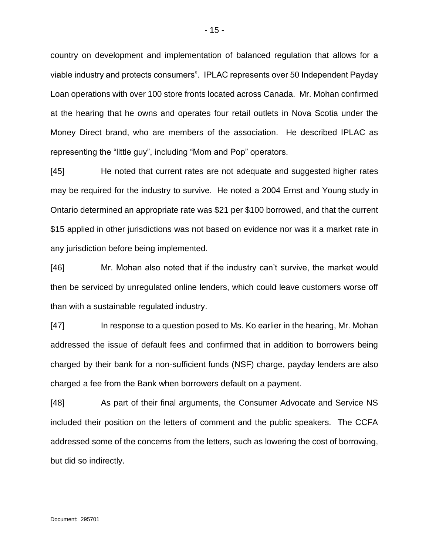country on development and implementation of balanced regulation that allows for a viable industry and protects consumers". IPLAC represents over 50 Independent Payday Loan operations with over 100 store fronts located across Canada. Mr. Mohan confirmed at the hearing that he owns and operates four retail outlets in Nova Scotia under the Money Direct brand, who are members of the association. He described IPLAC as representing the "little guy", including "Mom and Pop" operators.

[45] He noted that current rates are not adequate and suggested higher rates may be required for the industry to survive. He noted a 2004 Ernst and Young study in Ontario determined an appropriate rate was \$21 per \$100 borrowed, and that the current \$15 applied in other jurisdictions was not based on evidence nor was it a market rate in any jurisdiction before being implemented.

[46] Mr. Mohan also noted that if the industry can't survive, the market would then be serviced by unregulated online lenders, which could leave customers worse off than with a sustainable regulated industry.

[47] In response to a question posed to Ms. Ko earlier in the hearing, Mr. Mohan addressed the issue of default fees and confirmed that in addition to borrowers being charged by their bank for a non-sufficient funds (NSF) charge, payday lenders are also charged a fee from the Bank when borrowers default on a payment.

[48] As part of their final arguments, the Consumer Advocate and Service NS included their position on the letters of comment and the public speakers. The CCFA addressed some of the concerns from the letters, such as lowering the cost of borrowing, but did so indirectly.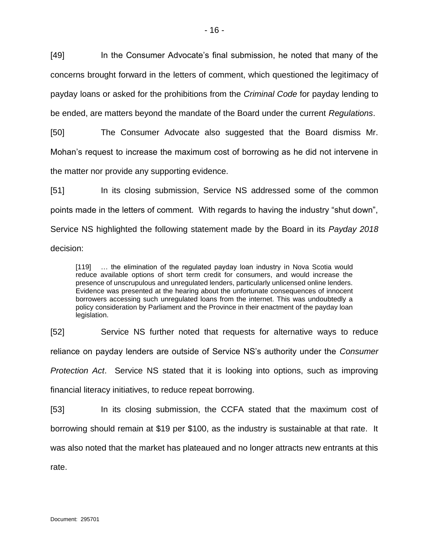[49] In the Consumer Advocate's final submission, he noted that many of the concerns brought forward in the letters of comment, which questioned the legitimacy of payday loans or asked for the prohibitions from the *Criminal Code* for payday lending to be ended, are matters beyond the mandate of the Board under the current *Regulations*.

[50] The Consumer Advocate also suggested that the Board dismiss Mr. Mohan's request to increase the maximum cost of borrowing as he did not intervene in the matter nor provide any supporting evidence.

[51] In its closing submission, Service NS addressed some of the common points made in the letters of comment. With regards to having the industry "shut down", Service NS highlighted the following statement made by the Board in its *Payday 2018* decision:

[119] … the elimination of the regulated payday loan industry in Nova Scotia would reduce available options of short term credit for consumers, and would increase the presence of unscrupulous and unregulated lenders, particularly unlicensed online lenders. Evidence was presented at the hearing about the unfortunate consequences of innocent borrowers accessing such unregulated loans from the internet. This was undoubtedly a policy consideration by Parliament and the Province in their enactment of the payday loan legislation.

[52] Service NS further noted that requests for alternative ways to reduce reliance on payday lenders are outside of Service NS's authority under the *Consumer Protection Act*. Service NS stated that it is looking into options, such as improving financial literacy initiatives, to reduce repeat borrowing.

[53] In its closing submission, the CCFA stated that the maximum cost of borrowing should remain at \$19 per \$100, as the industry is sustainable at that rate. It was also noted that the market has plateaued and no longer attracts new entrants at this rate.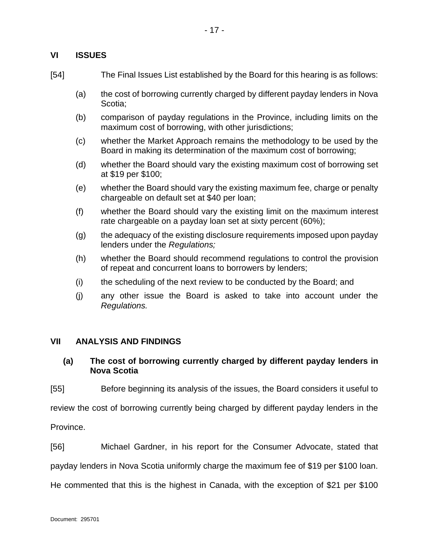# <span id="page-16-0"></span>**VI ISSUES**

- [54] The Final Issues List established by the Board for this hearing is as follows:
	- (a) the cost of borrowing currently charged by different payday lenders in Nova Scotia;
	- (b) comparison of payday regulations in the Province, including limits on the maximum cost of borrowing, with other jurisdictions;
	- (c) whether the Market Approach remains the methodology to be used by the Board in making its determination of the maximum cost of borrowing;
	- (d) whether the Board should vary the existing maximum cost of borrowing set at \$19 per \$100;
	- (e) whether the Board should vary the existing maximum fee, charge or penalty chargeable on default set at \$40 per loan;
	- (f) whether the Board should vary the existing limit on the maximum interest rate chargeable on a payday loan set at sixty percent (60%);
	- (g) the adequacy of the existing disclosure requirements imposed upon payday lenders under the *Regulations;*
	- (h) whether the Board should recommend regulations to control the provision of repeat and concurrent loans to borrowers by lenders;
	- (i) the scheduling of the next review to be conducted by the Board; and
	- (j) any other issue the Board is asked to take into account under the *Regulations.*

### <span id="page-16-1"></span>**VII ANALYSIS AND FINDINGS**

# <span id="page-16-2"></span>**(a) The cost of borrowing currently charged by different payday lenders in Nova Scotia**

[55] Before beginning its analysis of the issues, the Board considers it useful to

review the cost of borrowing currently being charged by different payday lenders in the

Province.

[56] Michael Gardner, in his report for the Consumer Advocate, stated that payday lenders in Nova Scotia uniformly charge the maximum fee of \$19 per \$100 loan. He commented that this is the highest in Canada, with the exception of \$21 per \$100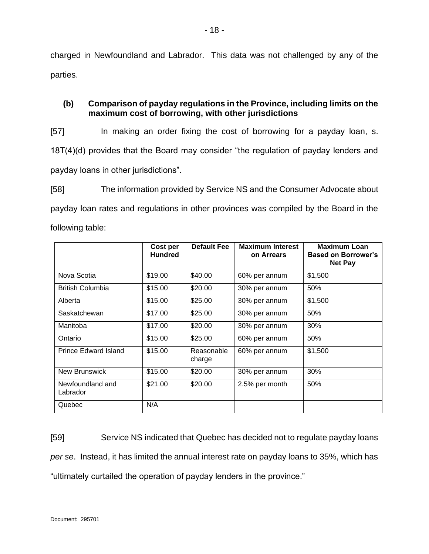charged in Newfoundland and Labrador. This data was not challenged by any of the parties.

# <span id="page-17-0"></span>**(b) Comparison of payday regulations in the Province, including limits on the maximum cost of borrowing, with other jurisdictions**

[57] In making an order fixing the cost of borrowing for a payday loan, s. 18T(4)(d) provides that the Board may consider "the regulation of payday lenders and payday loans in other jurisdictions".

[58] The information provided by Service NS and the Consumer Advocate about payday loan rates and regulations in other provinces was compiled by the Board in the following table:

|                              | Cost per<br><b>Hundred</b> | <b>Default Fee</b>   | <b>Maximum Interest</b><br>on Arrears | <b>Maximum Loan</b><br><b>Based on Borrower's</b><br><b>Net Pay</b> |  |
|------------------------------|----------------------------|----------------------|---------------------------------------|---------------------------------------------------------------------|--|
| Nova Scotia                  | \$19.00                    | \$40.00              | 60% per annum                         | \$1,500                                                             |  |
| <b>British Columbia</b>      | \$15.00                    | \$20.00              | 30% per annum                         | 50%                                                                 |  |
| Alberta                      | \$15.00                    | \$25.00              | 30% per annum                         | \$1,500                                                             |  |
| Saskatchewan                 | \$17.00                    | \$25.00              | 30% per annum                         | 50%                                                                 |  |
| Manitoba                     | \$17.00                    | \$20.00              | 30% per annum                         | 30%                                                                 |  |
| Ontario                      | \$15.00                    | \$25.00              | 60% per annum                         | 50%                                                                 |  |
| <b>Prince Edward Island</b>  | \$15.00                    | Reasonable<br>charge | 60% per annum                         | \$1,500                                                             |  |
| <b>New Brunswick</b>         | \$15.00                    | \$20.00              | 30% per annum                         | 30%                                                                 |  |
| Newfoundland and<br>Labrador | \$21.00                    | \$20.00              | 2.5% per month                        | 50%                                                                 |  |
| Quebec                       | N/A                        |                      |                                       |                                                                     |  |

[59] Service NS indicated that Quebec has decided not to regulate payday loans *per se*. Instead, it has limited the annual interest rate on payday loans to 35%, which has "ultimately curtailed the operation of payday lenders in the province."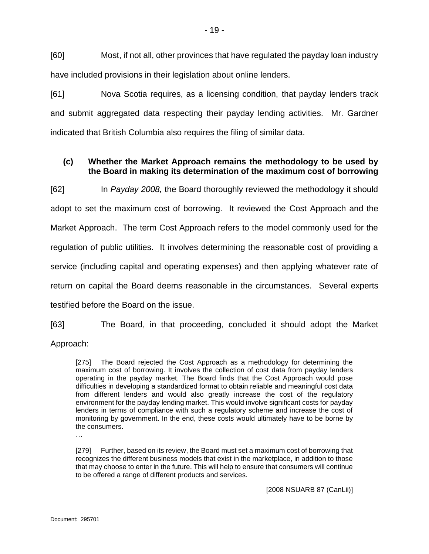[60] Most, if not all, other provinces that have regulated the payday loan industry have included provisions in their legislation about online lenders.

[61] Nova Scotia requires, as a licensing condition, that payday lenders track and submit aggregated data respecting their payday lending activities. Mr. Gardner indicated that British Columbia also requires the filing of similar data.

# <span id="page-18-0"></span>**(c) Whether the Market Approach remains the methodology to be used by the Board in making its determination of the maximum cost of borrowing**

[62] In *Payday 2008,* the Board thoroughly reviewed the methodology it should adopt to set the maximum cost of borrowing. It reviewed the Cost Approach and the Market Approach. The term Cost Approach refers to the model commonly used for the regulation of public utilities. It involves determining the reasonable cost of providing a service (including capital and operating expenses) and then applying whatever rate of return on capital the Board deems reasonable in the circumstances. Several experts testified before the Board on the issue.

[63] The Board, in that proceeding, concluded it should adopt the Market

Approach:

[275] The Board rejected the Cost Approach as a methodology for determining the maximum cost of borrowing. It involves the collection of cost data from payday lenders operating in the payday market. The Board finds that the Cost Approach would pose difficulties in developing a standardized format to obtain reliable and meaningful cost data from different lenders and would also greatly increase the cost of the regulatory environment for the payday lending market. This would involve significant costs for payday lenders in terms of compliance with such a regulatory scheme and increase the cost of monitoring by government. In the end, these costs would ultimately have to be borne by the consumers.

…

[279] Further, based on its review, the Board must set a maximum cost of borrowing that recognizes the different business models that exist in the marketplace, in addition to those that may choose to enter in the future. This will help to ensure that consumers will continue to be offered a range of different products and services.

[2008 NSUARB 87 (CanLii)]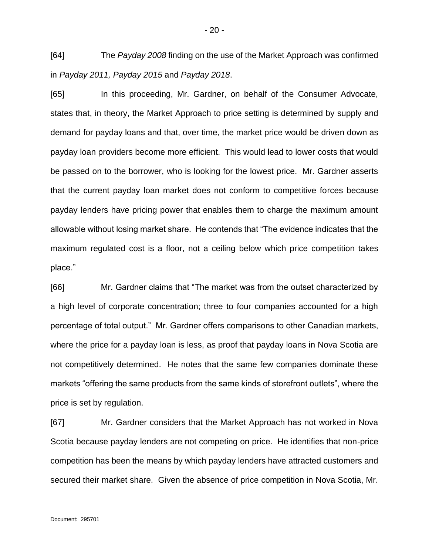[64] The *Payday 2008* finding on the use of the Market Approach was confirmed in *Payday 2011, Payday 2015* and *Payday 2018*.

[65] In this proceeding, Mr. Gardner, on behalf of the Consumer Advocate, states that, in theory, the Market Approach to price setting is determined by supply and demand for payday loans and that, over time, the market price would be driven down as payday loan providers become more efficient. This would lead to lower costs that would be passed on to the borrower, who is looking for the lowest price. Mr. Gardner asserts that the current payday loan market does not conform to competitive forces because payday lenders have pricing power that enables them to charge the maximum amount allowable without losing market share. He contends that "The evidence indicates that the maximum regulated cost is a floor, not a ceiling below which price competition takes place."

[66] Mr. Gardner claims that "The market was from the outset characterized by a high level of corporate concentration; three to four companies accounted for a high percentage of total output." Mr. Gardner offers comparisons to other Canadian markets, where the price for a payday loan is less, as proof that payday loans in Nova Scotia are not competitively determined. He notes that the same few companies dominate these markets "offering the same products from the same kinds of storefront outlets", where the price is set by regulation.

[67] Mr. Gardner considers that the Market Approach has not worked in Nova Scotia because payday lenders are not competing on price. He identifies that non-price competition has been the means by which payday lenders have attracted customers and secured their market share. Given the absence of price competition in Nova Scotia, Mr.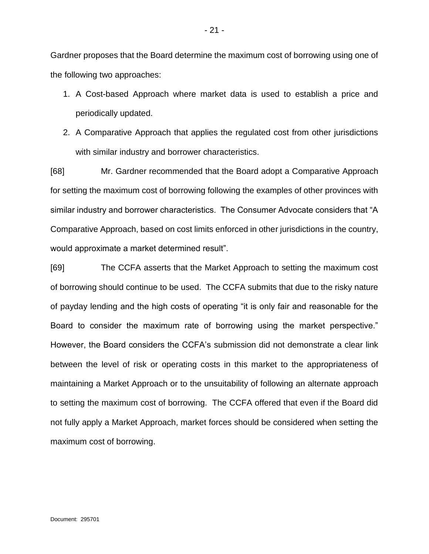Gardner proposes that the Board determine the maximum cost of borrowing using one of the following two approaches:

- 1. A Cost-based Approach where market data is used to establish a price and periodically updated.
- 2. A Comparative Approach that applies the regulated cost from other jurisdictions with similar industry and borrower characteristics.

[68] Mr. Gardner recommended that the Board adopt a Comparative Approach for setting the maximum cost of borrowing following the examples of other provinces with similar industry and borrower characteristics. The Consumer Advocate considers that "A Comparative Approach, based on cost limits enforced in other jurisdictions in the country, would approximate a market determined result".

[69] The CCFA asserts that the Market Approach to setting the maximum cost of borrowing should continue to be used. The CCFA submits that due to the risky nature of payday lending and the high costs of operating "it is only fair and reasonable for the Board to consider the maximum rate of borrowing using the market perspective." However, the Board considers the CCFA's submission did not demonstrate a clear link between the level of risk or operating costs in this market to the appropriateness of maintaining a Market Approach or to the unsuitability of following an alternate approach to setting the maximum cost of borrowing. The CCFA offered that even if the Board did not fully apply a Market Approach, market forces should be considered when setting the maximum cost of borrowing.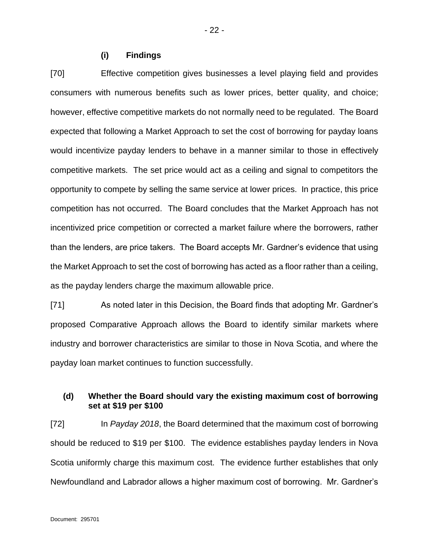#### **(i) Findings**

<span id="page-21-0"></span>[70] Effective competition gives businesses a level playing field and provides consumers with numerous benefits such as lower prices, better quality, and choice; however, effective competitive markets do not normally need to be regulated. The Board expected that following a Market Approach to set the cost of borrowing for payday loans would incentivize payday lenders to behave in a manner similar to those in effectively competitive markets. The set price would act as a ceiling and signal to competitors the opportunity to compete by selling the same service at lower prices. In practice, this price competition has not occurred. The Board concludes that the Market Approach has not incentivized price competition or corrected a market failure where the borrowers, rather than the lenders, are price takers. The Board accepts Mr. Gardner's evidence that using the Market Approach to set the cost of borrowing has acted as a floor rather than a ceiling, as the payday lenders charge the maximum allowable price.

[71] As noted later in this Decision, the Board finds that adopting Mr. Gardner's proposed Comparative Approach allows the Board to identify similar markets where industry and borrower characteristics are similar to those in Nova Scotia, and where the payday loan market continues to function successfully.

# <span id="page-21-1"></span>**(d) Whether the Board should vary the existing maximum cost of borrowing set at \$19 per \$100**

[72] In *Payday 2018*, the Board determined that the maximum cost of borrowing should be reduced to \$19 per \$100. The evidence establishes payday lenders in Nova Scotia uniformly charge this maximum cost. The evidence further establishes that only Newfoundland and Labrador allows a higher maximum cost of borrowing. Mr. Gardner's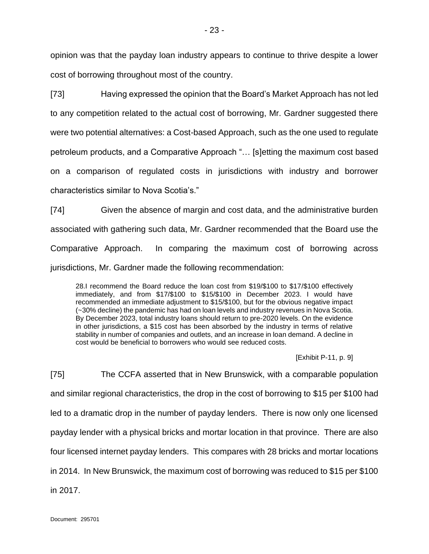opinion was that the payday loan industry appears to continue to thrive despite a lower cost of borrowing throughout most of the country.

[73] Having expressed the opinion that the Board's Market Approach has not led to any competition related to the actual cost of borrowing, Mr. Gardner suggested there were two potential alternatives: a Cost-based Approach, such as the one used to regulate petroleum products, and a Comparative Approach "… [s]etting the maximum cost based on a comparison of regulated costs in jurisdictions with industry and borrower characteristics similar to Nova Scotia's."

[74] Given the absence of margin and cost data, and the administrative burden associated with gathering such data, Mr. Gardner recommended that the Board use the Comparative Approach. In comparing the maximum cost of borrowing across jurisdictions, Mr. Gardner made the following recommendation:

28.I recommend the Board reduce the loan cost from \$19/\$100 to \$17/\$100 effectively immediately, and from \$17/\$100 to \$15/\$100 in December 2023. I would have recommended an immediate adjustment to \$15/\$100, but for the obvious negative impact (~30% decline) the pandemic has had on loan levels and industry revenues in Nova Scotia. By December 2023, total industry loans should return to pre-2020 levels. On the evidence in other jurisdictions, a \$15 cost has been absorbed by the industry in terms of relative stability in number of companies and outlets, and an increase in loan demand. A decline in cost would be beneficial to borrowers who would see reduced costs.

[Exhibit P-11, p. 9]

[75] The CCFA asserted that in New Brunswick, with a comparable population and similar regional characteristics, the drop in the cost of borrowing to \$15 per \$100 had led to a dramatic drop in the number of payday lenders. There is now only one licensed payday lender with a physical bricks and mortar location in that province. There are also four licensed internet payday lenders. This compares with 28 bricks and mortar locations in 2014. In New Brunswick, the maximum cost of borrowing was reduced to \$15 per \$100 in 2017.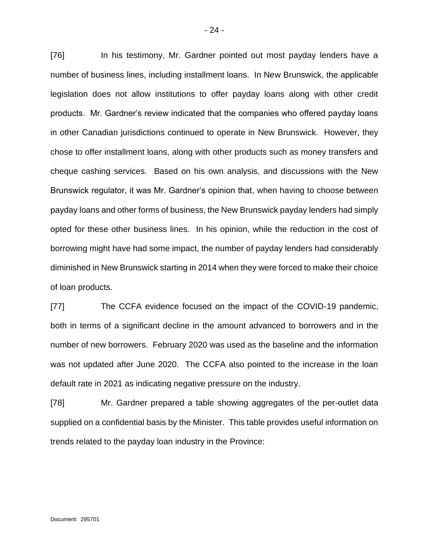[76] In his testimony, Mr. Gardner pointed out most payday lenders have a number of business lines, including installment loans. In New Brunswick, the applicable legislation does not allow institutions to offer payday loans along with other credit products. Mr. Gardner's review indicated that the companies who offered payday loans in other Canadian jurisdictions continued to operate in New Brunswick. However, they chose to offer installment loans, along with other products such as money transfers and cheque cashing services. Based on his own analysis, and discussions with the New Brunswick regulator, it was Mr. Gardner's opinion that, when having to choose between payday loans and other forms of business, the New Brunswick payday lenders had simply opted for these other business lines. In his opinion, while the reduction in the cost of borrowing might have had some impact, the number of payday lenders had considerably diminished in New Brunswick starting in 2014 when they were forced to make their choice of loan products.

[77] The CCFA evidence focused on the impact of the COVID-19 pandemic, both in terms of a significant decline in the amount advanced to borrowers and in the number of new borrowers. February 2020 was used as the baseline and the information was not updated after June 2020. The CCFA also pointed to the increase in the loan default rate in 2021 as indicating negative pressure on the industry.

[78] Mr. Gardner prepared a table showing aggregates of the per-outlet data supplied on a confidential basis by the Minister. This table provides useful information on trends related to the payday loan industry in the Province: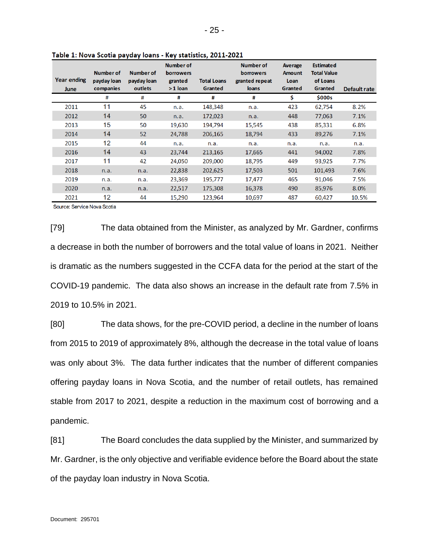| <b>Year ending</b><br>June | Number of<br>payday loan<br>companies | Number of<br>payday loan<br>outlets | <b>Number of</b><br><b>borrowers</b><br>granted<br>$>1$ loan | <b>Total Loans</b><br>Granted | Number of<br><b>borrowers</b><br>granted repeat<br><b>loans</b> | <b>Average</b><br><b>Amount</b><br>Loan<br>Granted | <b>Estimated</b><br><b>Total Value</b><br>of Loans<br>Granted | Default rate |
|----------------------------|---------------------------------------|-------------------------------------|--------------------------------------------------------------|-------------------------------|-----------------------------------------------------------------|----------------------------------------------------|---------------------------------------------------------------|--------------|
|                            | #                                     | #                                   | #                                                            | #                             | #                                                               | \$                                                 | \$000s                                                        |              |
| 2011                       | 11                                    | 45                                  | n.a.                                                         | 148,348                       | n.a.                                                            | 423                                                | 62,754                                                        | 8.2%         |
| 2012                       | 14                                    | 50                                  | n.a.                                                         | 172,023                       | n.a.                                                            | 448                                                | 77,063                                                        | 7.1%         |
| 2013                       | 15                                    | 50                                  | 19,630                                                       | 194,794                       | 15,545                                                          | 438                                                | 85,331                                                        | 6.8%         |
| 2014                       | 14                                    | 52                                  | 24,788                                                       | 206,165                       | 18,794                                                          | 433                                                | 89,276                                                        | 7.1%         |
| 2015                       | 12                                    | 44                                  | n.a.                                                         | n.a.                          | n.a.                                                            | n.a.                                               | n.a.                                                          | n.a.         |
| 2016                       | 14                                    | 43                                  | 23.744                                                       | 213.165                       | 17,665                                                          | 441                                                | 94.002                                                        | 7.8%         |
| 2017                       | 11                                    | 42                                  | 24,050                                                       | 209,000                       | 18,795                                                          | 449                                                | 93,925                                                        | 7.7%         |
| 2018                       | n.a.                                  | n.a.                                | 22,838                                                       | 202,625                       | 17,503                                                          | 501                                                | 101,493                                                       | 7.6%         |
| 2019                       | n.a.                                  | n.a.                                | 23,369                                                       | 195,777                       | 17,477                                                          | 465                                                | 91,046                                                        | 7.5%         |
| 2020                       | n.a.                                  | n.a.                                | 22,517                                                       | 175,308                       | 16,378                                                          | 490                                                | 85,976                                                        | 8.0%         |
| 2021                       | 12                                    | 44                                  | 15,290                                                       | 123,964                       | 10,697                                                          | 487                                                | 60,427                                                        | 10.5%        |

Table 1: Nova Scotia payday loans - Key statistics, 2011-2021

Source: Service Nova Scotia

[79] The data obtained from the Minister, as analyzed by Mr. Gardner, confirms a decrease in both the number of borrowers and the total value of loans in 2021. Neither is dramatic as the numbers suggested in the CCFA data for the period at the start of the COVID-19 pandemic. The data also shows an increase in the default rate from 7.5% in 2019 to 10.5% in 2021.

[80] The data shows, for the pre-COVID period, a decline in the number of loans from 2015 to 2019 of approximately 8%, although the decrease in the total value of loans was only about 3%. The data further indicates that the number of different companies offering payday loans in Nova Scotia, and the number of retail outlets, has remained stable from 2017 to 2021, despite a reduction in the maximum cost of borrowing and a pandemic.

[81] The Board concludes the data supplied by the Minister, and summarized by Mr. Gardner, is the only objective and verifiable evidence before the Board about the state of the payday loan industry in Nova Scotia.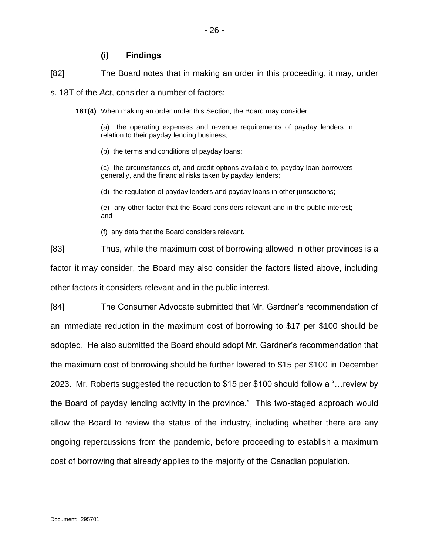# **(i) Findings**

<span id="page-25-0"></span>[82] The Board notes that in making an order in this proceeding, it may, under

s. 18T of the *Act*, consider a number of factors:

**18T(4)** When making an order under this Section, the Board may consider

(a) the operating expenses and revenue requirements of payday lenders in relation to their payday lending business;

(b) the terms and conditions of payday loans;

(c) the circumstances of, and credit options available to, payday loan borrowers generally, and the financial risks taken by payday lenders;

(d) the regulation of payday lenders and payday loans in other jurisdictions;

(e) any other factor that the Board considers relevant and in the public interest; and

(f) any data that the Board considers relevant.

[83] Thus, while the maximum cost of borrowing allowed in other provinces is a factor it may consider, the Board may also consider the factors listed above, including other factors it considers relevant and in the public interest.

[84] The Consumer Advocate submitted that Mr. Gardner's recommendation of an immediate reduction in the maximum cost of borrowing to \$17 per \$100 should be adopted. He also submitted the Board should adopt Mr. Gardner's recommendation that the maximum cost of borrowing should be further lowered to \$15 per \$100 in December 2023. Mr. Roberts suggested the reduction to \$15 per \$100 should follow a "…review by the Board of payday lending activity in the province." This two-staged approach would allow the Board to review the status of the industry, including whether there are any ongoing repercussions from the pandemic, before proceeding to establish a maximum cost of borrowing that already applies to the majority of the Canadian population.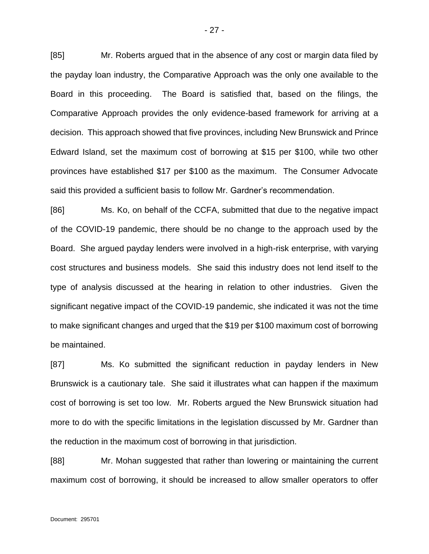[85] Mr. Roberts argued that in the absence of any cost or margin data filed by the payday loan industry, the Comparative Approach was the only one available to the Board in this proceeding. The Board is satisfied that, based on the filings, the Comparative Approach provides the only evidence-based framework for arriving at a decision. This approach showed that five provinces, including New Brunswick and Prince Edward Island, set the maximum cost of borrowing at \$15 per \$100, while two other provinces have established \$17 per \$100 as the maximum. The Consumer Advocate said this provided a sufficient basis to follow Mr. Gardner's recommendation.

[86] Ms. Ko, on behalf of the CCFA, submitted that due to the negative impact of the COVID-19 pandemic, there should be no change to the approach used by the Board. She argued payday lenders were involved in a high-risk enterprise, with varying cost structures and business models. She said this industry does not lend itself to the type of analysis discussed at the hearing in relation to other industries. Given the significant negative impact of the COVID-19 pandemic, she indicated it was not the time to make significant changes and urged that the \$19 per \$100 maximum cost of borrowing be maintained.

[87] Ms. Ko submitted the significant reduction in payday lenders in New Brunswick is a cautionary tale. She said it illustrates what can happen if the maximum cost of borrowing is set too low. Mr. Roberts argued the New Brunswick situation had more to do with the specific limitations in the legislation discussed by Mr. Gardner than the reduction in the maximum cost of borrowing in that jurisdiction.

[88] Mr. Mohan suggested that rather than lowering or maintaining the current maximum cost of borrowing, it should be increased to allow smaller operators to offer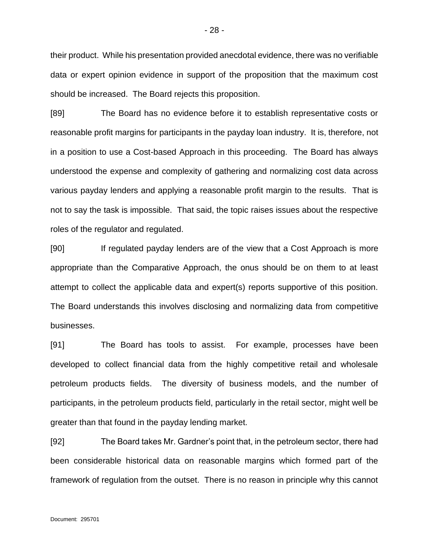their product. While his presentation provided anecdotal evidence, there was no verifiable data or expert opinion evidence in support of the proposition that the maximum cost should be increased. The Board rejects this proposition.

[89] The Board has no evidence before it to establish representative costs or reasonable profit margins for participants in the payday loan industry. It is, therefore, not in a position to use a Cost-based Approach in this proceeding. The Board has always understood the expense and complexity of gathering and normalizing cost data across various payday lenders and applying a reasonable profit margin to the results. That is not to say the task is impossible. That said, the topic raises issues about the respective roles of the regulator and regulated.

[90] If regulated payday lenders are of the view that a Cost Approach is more appropriate than the Comparative Approach, the onus should be on them to at least attempt to collect the applicable data and expert(s) reports supportive of this position. The Board understands this involves disclosing and normalizing data from competitive businesses.

[91] The Board has tools to assist. For example, processes have been developed to collect financial data from the highly competitive retail and wholesale petroleum products fields. The diversity of business models, and the number of participants, in the petroleum products field, particularly in the retail sector, might well be greater than that found in the payday lending market.

[92] The Board takes Mr. Gardner's point that, in the petroleum sector, there had been considerable historical data on reasonable margins which formed part of the framework of regulation from the outset. There is no reason in principle why this cannot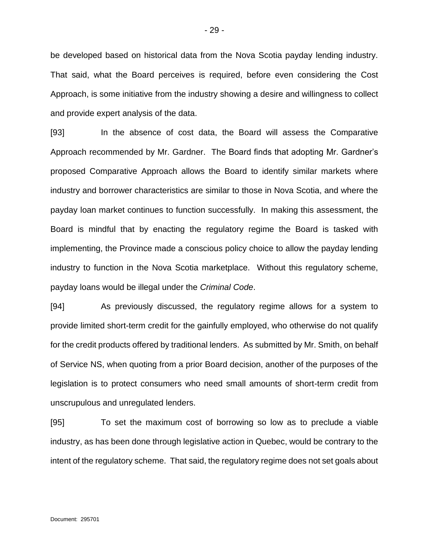be developed based on historical data from the Nova Scotia payday lending industry. That said, what the Board perceives is required, before even considering the Cost Approach, is some initiative from the industry showing a desire and willingness to collect and provide expert analysis of the data.

[93] In the absence of cost data, the Board will assess the Comparative Approach recommended by Mr. Gardner. The Board finds that adopting Mr. Gardner's proposed Comparative Approach allows the Board to identify similar markets where industry and borrower characteristics are similar to those in Nova Scotia, and where the payday loan market continues to function successfully. In making this assessment, the Board is mindful that by enacting the regulatory regime the Board is tasked with implementing, the Province made a conscious policy choice to allow the payday lending industry to function in the Nova Scotia marketplace. Without this regulatory scheme, payday loans would be illegal under the *Criminal Code*.

[94] As previously discussed, the regulatory regime allows for a system to provide limited short-term credit for the gainfully employed, who otherwise do not qualify for the credit products offered by traditional lenders. As submitted by Mr. Smith, on behalf of Service NS, when quoting from a prior Board decision, another of the purposes of the legislation is to protect consumers who need small amounts of short-term credit from unscrupulous and unregulated lenders.

[95] To set the maximum cost of borrowing so low as to preclude a viable industry, as has been done through legislative action in Quebec, would be contrary to the intent of the regulatory scheme. That said, the regulatory regime does not set goals about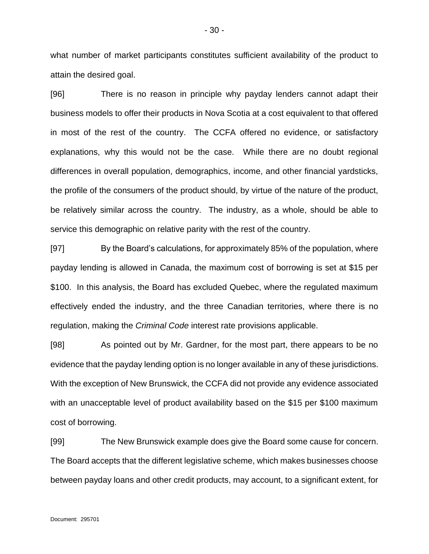what number of market participants constitutes sufficient availability of the product to attain the desired goal.

[96] There is no reason in principle why payday lenders cannot adapt their business models to offer their products in Nova Scotia at a cost equivalent to that offered in most of the rest of the country. The CCFA offered no evidence, or satisfactory explanations, why this would not be the case. While there are no doubt regional differences in overall population, demographics, income, and other financial yardsticks, the profile of the consumers of the product should, by virtue of the nature of the product, be relatively similar across the country. The industry, as a whole, should be able to service this demographic on relative parity with the rest of the country.

[97] By the Board's calculations, for approximately 85% of the population, where payday lending is allowed in Canada, the maximum cost of borrowing is set at \$15 per \$100. In this analysis, the Board has excluded Quebec, where the regulated maximum effectively ended the industry, and the three Canadian territories, where there is no regulation, making the *Criminal Code* interest rate provisions applicable.

[98] As pointed out by Mr. Gardner, for the most part, there appears to be no evidence that the payday lending option is no longer available in any of these jurisdictions. With the exception of New Brunswick, the CCFA did not provide any evidence associated with an unacceptable level of product availability based on the \$15 per \$100 maximum cost of borrowing.

[99] The New Brunswick example does give the Board some cause for concern. The Board accepts that the different legislative scheme, which makes businesses choose between payday loans and other credit products, may account, to a significant extent, for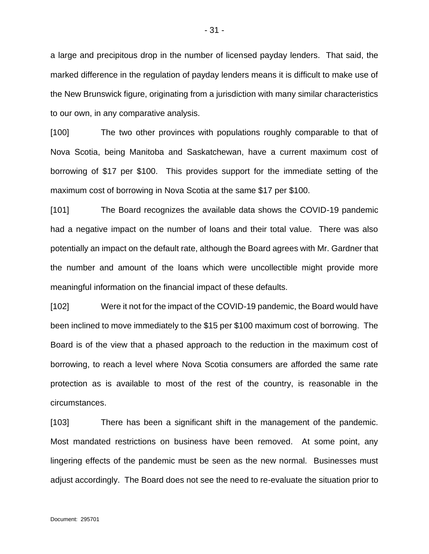a large and precipitous drop in the number of licensed payday lenders. That said, the marked difference in the regulation of payday lenders means it is difficult to make use of the New Brunswick figure, originating from a jurisdiction with many similar characteristics to our own, in any comparative analysis.

[100] The two other provinces with populations roughly comparable to that of Nova Scotia, being Manitoba and Saskatchewan, have a current maximum cost of borrowing of \$17 per \$100. This provides support for the immediate setting of the maximum cost of borrowing in Nova Scotia at the same \$17 per \$100.

[101] The Board recognizes the available data shows the COVID-19 pandemic had a negative impact on the number of loans and their total value. There was also potentially an impact on the default rate, although the Board agrees with Mr. Gardner that the number and amount of the loans which were uncollectible might provide more meaningful information on the financial impact of these defaults.

[102] Were it not for the impact of the COVID-19 pandemic, the Board would have been inclined to move immediately to the \$15 per \$100 maximum cost of borrowing. The Board is of the view that a phased approach to the reduction in the maximum cost of borrowing, to reach a level where Nova Scotia consumers are afforded the same rate protection as is available to most of the rest of the country, is reasonable in the circumstances.

[103] There has been a significant shift in the management of the pandemic. Most mandated restrictions on business have been removed. At some point, any lingering effects of the pandemic must be seen as the new normal. Businesses must adjust accordingly. The Board does not see the need to re-evaluate the situation prior to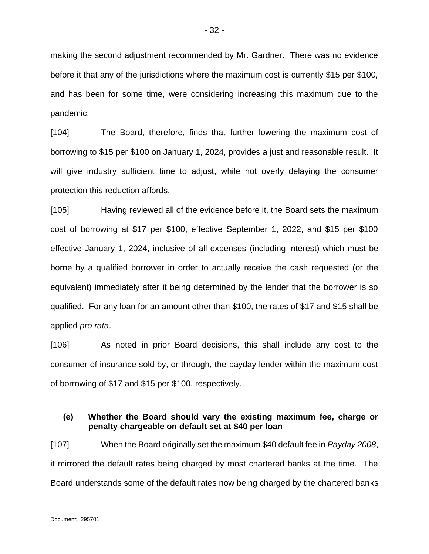making the second adjustment recommended by Mr. Gardner. There was no evidence before it that any of the jurisdictions where the maximum cost is currently \$15 per \$100, and has been for some time, were considering increasing this maximum due to the pandemic.

[104] The Board, therefore, finds that further lowering the maximum cost of borrowing to \$15 per \$100 on January 1, 2024, provides a just and reasonable result. It will give industry sufficient time to adjust, while not overly delaying the consumer protection this reduction affords.

[105] Having reviewed all of the evidence before it, the Board sets the maximum cost of borrowing at \$17 per \$100, effective September 1, 2022, and \$15 per \$100 effective January 1, 2024, inclusive of all expenses (including interest) which must be borne by a qualified borrower in order to actually receive the cash requested (or the equivalent) immediately after it being determined by the lender that the borrower is so qualified. For any loan for an amount other than \$100, the rates of \$17 and \$15 shall be applied *pro rata*.

[106] As noted in prior Board decisions, this shall include any cost to the consumer of insurance sold by, or through, the payday lender within the maximum cost of borrowing of \$17 and \$15 per \$100, respectively.

### <span id="page-31-0"></span>**(e) Whether the Board should vary the existing maximum fee, charge or penalty chargeable on default set at \$40 per loan**

[107] When the Board originally set the maximum \$40 default fee in *Payday 2008*, it mirrored the default rates being charged by most chartered banks at the time. The Board understands some of the default rates now being charged by the chartered banks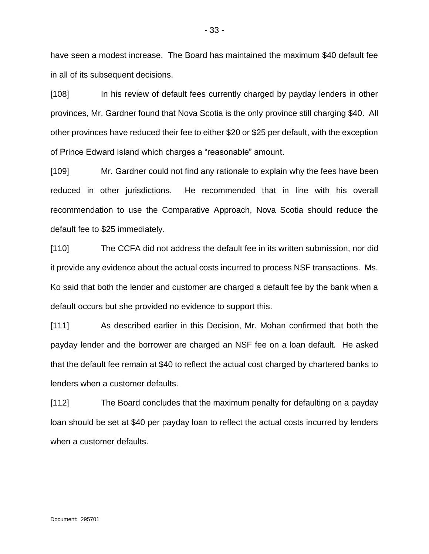have seen a modest increase. The Board has maintained the maximum \$40 default fee in all of its subsequent decisions.

[108] In his review of default fees currently charged by payday lenders in other provinces, Mr. Gardner found that Nova Scotia is the only province still charging \$40. All other provinces have reduced their fee to either \$20 or \$25 per default, with the exception of Prince Edward Island which charges a "reasonable" amount.

[109] Mr. Gardner could not find any rationale to explain why the fees have been reduced in other jurisdictions. He recommended that in line with his overall recommendation to use the Comparative Approach, Nova Scotia should reduce the default fee to \$25 immediately.

[110] The CCFA did not address the default fee in its written submission, nor did it provide any evidence about the actual costs incurred to process NSF transactions. Ms. Ko said that both the lender and customer are charged a default fee by the bank when a default occurs but she provided no evidence to support this.

[111] As described earlier in this Decision, Mr. Mohan confirmed that both the payday lender and the borrower are charged an NSF fee on a loan default. He asked that the default fee remain at \$40 to reflect the actual cost charged by chartered banks to lenders when a customer defaults.

[112] The Board concludes that the maximum penalty for defaulting on a payday loan should be set at \$40 per payday loan to reflect the actual costs incurred by lenders when a customer defaults.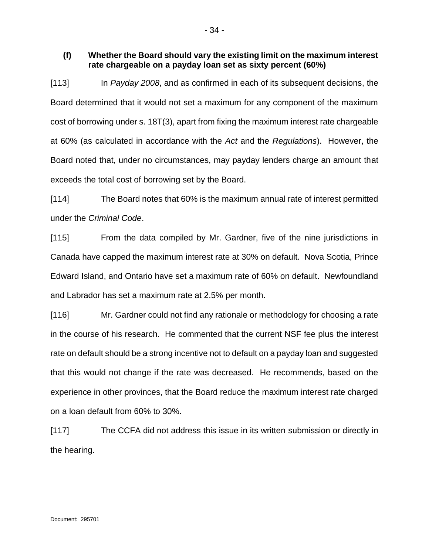### <span id="page-33-0"></span>**(f) Whether the Board should vary the existing limit on the maximum interest rate chargeable on a payday loan set as sixty percent (60%)**

[113] In *Payday 2008*, and as confirmed in each of its subsequent decisions, the Board determined that it would not set a maximum for any component of the maximum cost of borrowing under s. 18T(3), apart from fixing the maximum interest rate chargeable at 60% (as calculated in accordance with the *Act* and the *Regulations*). However, the Board noted that, under no circumstances, may payday lenders charge an amount that exceeds the total cost of borrowing set by the Board.

[114] The Board notes that 60% is the maximum annual rate of interest permitted under the *Criminal Code*.

[115] From the data compiled by Mr. Gardner, five of the nine jurisdictions in Canada have capped the maximum interest rate at 30% on default. Nova Scotia, Prince Edward Island, and Ontario have set a maximum rate of 60% on default. Newfoundland and Labrador has set a maximum rate at 2.5% per month.

[116] Mr. Gardner could not find any rationale or methodology for choosing a rate in the course of his research. He commented that the current NSF fee plus the interest rate on default should be a strong incentive not to default on a payday loan and suggested that this would not change if the rate was decreased. He recommends, based on the experience in other provinces, that the Board reduce the maximum interest rate charged on a loan default from 60% to 30%.

[117] The CCFA did not address this issue in its written submission or directly in the hearing.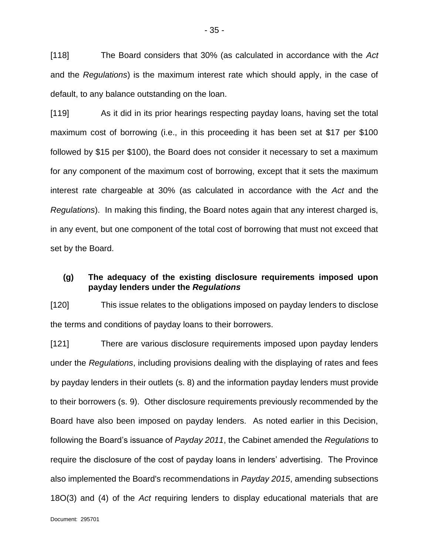[118] The Board considers that 30% (as calculated in accordance with the *Act* and the *Regulations*) is the maximum interest rate which should apply, in the case of default, to any balance outstanding on the loan.

[119] As it did in its prior hearings respecting payday loans, having set the total maximum cost of borrowing (i.e., in this proceeding it has been set at \$17 per \$100 followed by \$15 per \$100), the Board does not consider it necessary to set a maximum for any component of the maximum cost of borrowing, except that it sets the maximum interest rate chargeable at 30% (as calculated in accordance with the *Act* and the *Regulations*). In making this finding, the Board notes again that any interest charged is, in any event, but one component of the total cost of borrowing that must not exceed that set by the Board.

# <span id="page-34-0"></span>**(g) The adequacy of the existing disclosure requirements imposed upon payday lenders under the** *Regulations*

[120] This issue relates to the obligations imposed on payday lenders to disclose the terms and conditions of payday loans to their borrowers.

[121] There are various disclosure requirements imposed upon payday lenders under the *Regulations*, including provisions dealing with the displaying of rates and fees by payday lenders in their outlets (s. 8) and the information payday lenders must provide to their borrowers (s. 9). Other disclosure requirements previously recommended by the Board have also been imposed on payday lenders. As noted earlier in this Decision, following the Board's issuance of *Payday 2011*, the Cabinet amended the *Regulations* to require the disclosure of the cost of payday loans in lenders' advertising. The Province also implemented the Board's recommendations in *Payday 2015*, amending subsections 18O(3) and (4) of the *Act* requiring lenders to display educational materials that are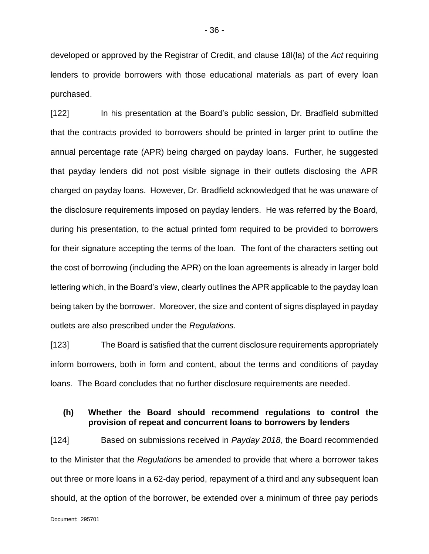developed or approved by the Registrar of Credit, and clause 18I(la) of the *Act* requiring lenders to provide borrowers with those educational materials as part of every loan purchased.

[122] In his presentation at the Board's public session, Dr. Bradfield submitted that the contracts provided to borrowers should be printed in larger print to outline the annual percentage rate (APR) being charged on payday loans. Further, he suggested that payday lenders did not post visible signage in their outlets disclosing the APR charged on payday loans. However, Dr. Bradfield acknowledged that he was unaware of the disclosure requirements imposed on payday lenders. He was referred by the Board, during his presentation, to the actual printed form required to be provided to borrowers for their signature accepting the terms of the loan. The font of the characters setting out the cost of borrowing (including the APR) on the loan agreements is already in larger bold lettering which, in the Board's view, clearly outlines the APR applicable to the payday loan being taken by the borrower. Moreover, the size and content of signs displayed in payday outlets are also prescribed under the *Regulations.*

[123] The Board is satisfied that the current disclosure requirements appropriately inform borrowers, both in form and content, about the terms and conditions of payday loans. The Board concludes that no further disclosure requirements are needed.

#### <span id="page-35-0"></span>**(h) Whether the Board should recommend regulations to control the provision of repeat and concurrent loans to borrowers by lenders**

[124] Based on submissions received in *Payday 2018*, the Board recommended to the Minister that the *Regulations* be amended to provide that where a borrower takes out three or more loans in a 62-day period, repayment of a third and any subsequent loan should, at the option of the borrower, be extended over a minimum of three pay periods

Document: 295701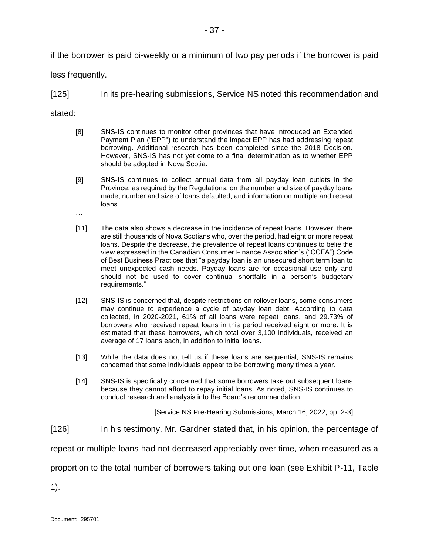if the borrower is paid bi-weekly or a minimum of two pay periods if the borrower is paid

less frequently.

…

[125] In its pre-hearing submissions, Service NS noted this recommendation and

stated:

- [8] SNS-IS continues to monitor other provinces that have introduced an Extended Payment Plan ("EPP") to understand the impact EPP has had addressing repeat borrowing. Additional research has been completed since the 2018 Decision. However, SNS-IS has not yet come to a final determination as to whether EPP should be adopted in Nova Scotia.
- [9] SNS-IS continues to collect annual data from all payday loan outlets in the Province, as required by the Regulations, on the number and size of payday loans made, number and size of loans defaulted, and information on multiple and repeat loans. …
- [11] The data also shows a decrease in the incidence of repeat loans. However, there are still thousands of Nova Scotians who, over the period, had eight or more repeat loans. Despite the decrease, the prevalence of repeat loans continues to belie the view expressed in the Canadian Consumer Finance Association's ("CCFA") Code of Best Business Practices that "a payday loan is an unsecured short term loan to meet unexpected cash needs. Payday loans are for occasional use only and should not be used to cover continual shortfalls in a person's budgetary requirements."
- [12] SNS-IS is concerned that, despite restrictions on rollover loans, some consumers may continue to experience a cycle of payday loan debt. According to data collected, in 2020-2021, 61% of all loans were repeat loans, and 29.73% of borrowers who received repeat loans in this period received eight or more. It is estimated that these borrowers, which total over 3,100 individuals, received an average of 17 loans each, in addition to initial loans.
- [13] While the data does not tell us if these loans are sequential, SNS-IS remains concerned that some individuals appear to be borrowing many times a year.
- [14] SNS-IS is specifically concerned that some borrowers take out subsequent loans because they cannot afford to repay initial loans. As noted, SNS-IS continues to conduct research and analysis into the Board's recommendation…

[Service NS Pre-Hearing Submissions, March 16, 2022, pp. 2-3]

[126] In his testimony, Mr. Gardner stated that, in his opinion, the percentage of

repeat or multiple loans had not decreased appreciably over time, when measured as a

proportion to the total number of borrowers taking out one loan (see Exhibit P-11, Table

1).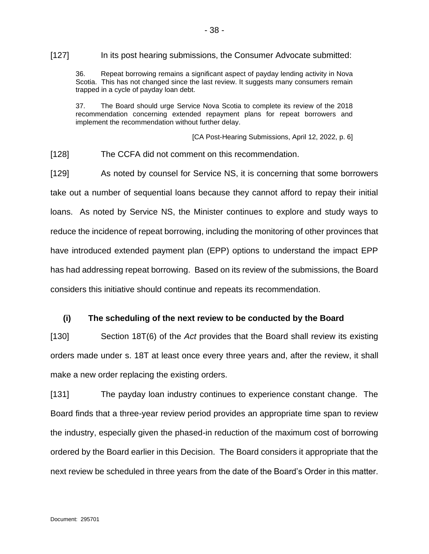[127] In its post hearing submissions, the Consumer Advocate submitted:

36. Repeat borrowing remains a significant aspect of payday lending activity in Nova Scotia. This has not changed since the last review. It suggests many consumers remain trapped in a cycle of payday loan debt.

37. The Board should urge Service Nova Scotia to complete its review of the 2018 recommendation concerning extended repayment plans for repeat borrowers and implement the recommendation without further delay.

[CA Post-Hearing Submissions, April 12, 2022, p. 6]

[128] The CCFA did not comment on this recommendation.

[129] As noted by counsel for Service NS, it is concerning that some borrowers take out a number of sequential loans because they cannot afford to repay their initial loans. As noted by Service NS, the Minister continues to explore and study ways to reduce the incidence of repeat borrowing, including the monitoring of other provinces that have introduced extended payment plan (EPP) options to understand the impact EPP has had addressing repeat borrowing. Based on its review of the submissions, the Board considers this initiative should continue and repeats its recommendation.

#### <span id="page-37-0"></span>**(i) The scheduling of the next review to be conducted by the Board**

[130] Section 18T(6) of the *Act* provides that the Board shall review its existing orders made under s. 18T at least once every three years and, after the review, it shall make a new order replacing the existing orders.

[131] The payday loan industry continues to experience constant change. The Board finds that a three-year review period provides an appropriate time span to review the industry, especially given the phased-in reduction of the maximum cost of borrowing ordered by the Board earlier in this Decision. The Board considers it appropriate that the next review be scheduled in three years from the date of the Board's Order in this matter.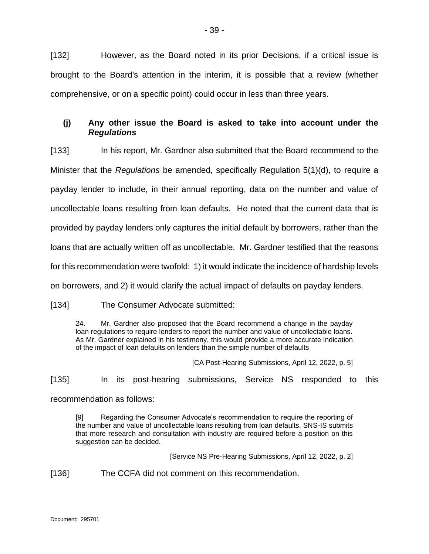[132] However, as the Board noted in its prior Decisions, if a critical issue is brought to the Board's attention in the interim, it is possible that a review (whether comprehensive, or on a specific point) could occur in less than three years.

# <span id="page-38-0"></span>**(j) Any other issue the Board is asked to take into account under the**  *Regulations*

[133] In his report, Mr. Gardner also submitted that the Board recommend to the Minister that the *Regulations* be amended, specifically Regulation 5(1)(d), to require a payday lender to include, in their annual reporting, data on the number and value of uncollectable loans resulting from loan defaults. He noted that the current data that is provided by payday lenders only captures the initial default by borrowers, rather than the loans that are actually written off as uncollectable. Mr. Gardner testified that the reasons for this recommendation were twofold: 1) it would indicate the incidence of hardship levels on borrowers, and 2) it would clarify the actual impact of defaults on payday lenders.

[134] The Consumer Advocate submitted:

24. Mr. Gardner also proposed that the Board recommend a change in the payday loan regulations to require lenders to report the number and value of uncollectabie loans. As Mr. Gardner explained in his testimony, this would provide a more accurate indication of the impact of loan defaults on lenders than the simple number of defaults

[CA Post-Hearing Submissions, April 12, 2022, p. 5]

[135] In its post-hearing submissions, Service NS responded to this recommendation as follows:

[9] Regarding the Consumer Advocate's recommendation to require the reporting of the number and value of uncollectable loans resulting from loan defaults, SNS-IS submits that more research and consultation with industry are required before a position on this suggestion can be decided.

[Service NS Pre-Hearing Submissions, April 12, 2022, p. 2]

[136] The CCFA did not comment on this recommendation.